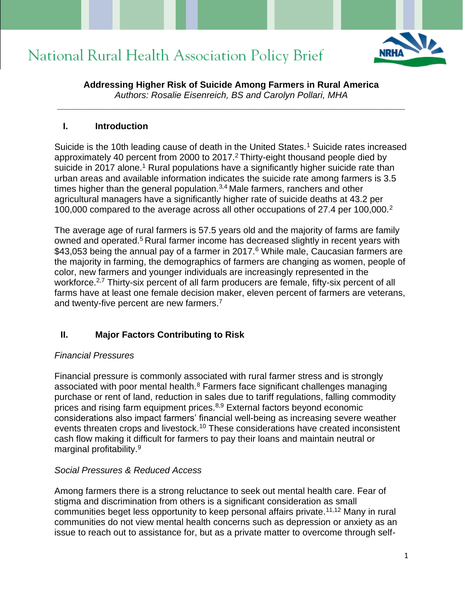

**Addressing Higher Risk of Suicide Among Farmers in Rural America** *Authors: Rosalie Eisenreich, BS and Carolyn Pollari, MHA*

**\_\_\_\_\_\_\_\_\_\_\_\_\_\_\_\_\_\_\_\_\_\_\_\_\_\_\_\_\_\_\_\_\_\_\_\_\_\_\_\_\_\_\_\_\_\_\_\_\_\_\_\_\_\_\_\_\_\_\_\_\_\_\_\_\_\_\_\_\_**

#### **I. Introduction**

Suicide is the 10th leading cause of death in the United States.<sup>1</sup> Suicide rates increased approximately 40 percent from 2000 to 2017.<sup>2</sup> Thirty-eight thousand people died by suicide in 2017 alone.<sup>1</sup> Rural populations have a significantly higher suicide rate than urban areas and available information indicates the suicide rate among farmers is 3.5 times higher than the general population.<sup>3,4</sup> Male farmers, ranchers and other agricultural managers have a significantly higher rate of suicide deaths at 43.2 per 100,000 compared to the average across all other occupations of 27.4 per 100,000.<sup>2</sup>

The average age of rural farmers is 57.5 years old and the majority of farms are family owned and operated.<sup>5</sup> Rural farmer income has decreased slightly in recent years with \$43,053 being the annual pay of a farmer in 2017.<sup>6</sup> While male, Caucasian farmers are the majority in farming, the demographics of farmers are changing as women, people of color, new farmers and younger individuals are increasingly represented in the workforce.<sup>2,7</sup> Thirty-six percent of all farm producers are female, fifty-six percent of all farms have at least one female decision maker, eleven percent of farmers are veterans, and twenty-five percent are new farmers.<sup>7</sup>

### **II. Major Factors Contributing to Risk**

#### *Financial Pressures*

Financial pressure is commonly associated with rural farmer stress and is strongly associated with poor mental health.<sup>8</sup> Farmers face significant challenges managing purchase or rent of land, reduction in sales due to tariff regulations, falling commodity prices and rising farm equipment prices.8,9 External factors beyond economic considerations also impact farmers' financial well-being as increasing severe weather events threaten crops and livestock.<sup>10</sup> These considerations have created inconsistent cash flow making it difficult for farmers to pay their loans and maintain neutral or marginal profitability.<sup>9</sup>

### *Social Pressures & Reduced Access*

Among farmers there is a strong reluctance to seek out mental health care. Fear of stigma and discrimination from others is a significant consideration as small communities beget less opportunity to keep personal affairs private.11,12 Many in rural communities do not view mental health concerns such as depression or anxiety as an issue to reach out to assistance for, but as a private matter to overcome through self-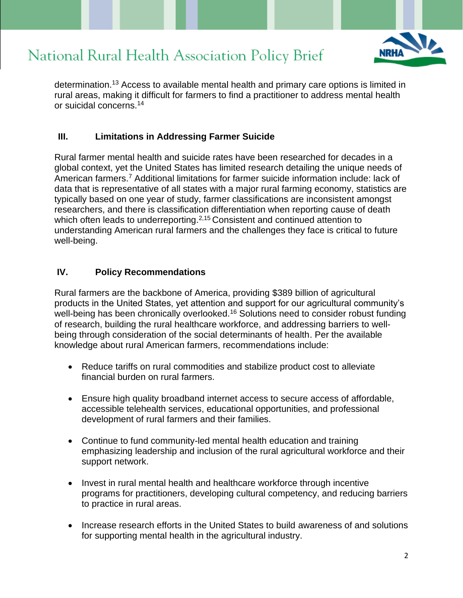

determination.<sup>13</sup> Access to available mental health and primary care options is limited in rural areas, making it difficult for farmers to find a practitioner to address mental health or suicidal concerns.<sup>14</sup>

### **III. Limitations in Addressing Farmer Suicide**

Rural farmer mental health and suicide rates have been researched for decades in a global context, yet the United States has limited research detailing the unique needs of American farmers.<sup>7</sup> Additional limitations for farmer suicide information include: lack of data that is representative of all states with a major rural farming economy, statistics are typically based on one year of study, farmer classifications are inconsistent amongst researchers, and there is classification differentiation when reporting cause of death which often leads to underreporting.<sup>2,15</sup> Consistent and continued attention to understanding American rural farmers and the challenges they face is critical to future well-being.

#### **IV. Policy Recommendations**

Rural farmers are the backbone of America, providing \$389 billion of agricultural products in the United States, yet attention and support for our agricultural community's well-being has been chronically overlooked.<sup>16</sup> Solutions need to consider robust funding of research, building the rural healthcare workforce, and addressing barriers to wellbeing through consideration of the social determinants of health. Per the available knowledge about rural American farmers, recommendations include:

- Reduce tariffs on rural commodities and stabilize product cost to alleviate financial burden on rural farmers.
- Ensure high quality broadband internet access to secure access of affordable, accessible telehealth services, educational opportunities, and professional development of rural farmers and their families.
- Continue to fund community-led mental health education and training emphasizing leadership and inclusion of the rural agricultural workforce and their support network.
- Invest in rural mental health and healthcare workforce through incentive programs for practitioners, developing cultural competency, and reducing barriers to practice in rural areas.
- Increase research efforts in the United States to build awareness of and solutions for supporting mental health in the agricultural industry.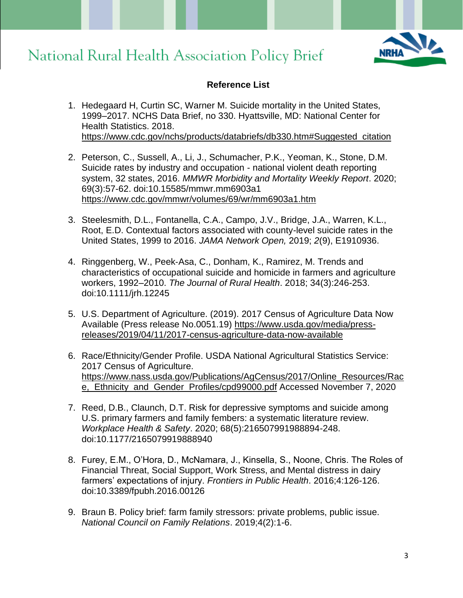

### **Reference List**

- 1. Hedegaard H, Curtin SC, Warner M. Suicide mortality in the United States, 1999–2017. NCHS Data Brief, no 330. Hyattsville, MD: National Center for Health Statistics. 2018. [https://www.cdc.gov/nchs/products/databriefs/db330.htm#Suggested\\_citation](https://ct-url-protection-us.portal.checkpoint.com/v1/load/JcLyEN2zV2cI0xpLBjWsjMSCosdSHFnGl231DC_hkY9lJC-yFej9KDrDNY2-lTSssf9zUzccKe1TXPxetf41JNjlwPu1VEeojodo-3yIt73aITRQzbAro3YHY-gJOTpF-A7CApMq8eKDtpU7XinMo5mBGa3lAcvOMQwOjOpYt3VrhJsQmn-rfa4Qwpngv5lMxNh0b9GvJDpyM5uC77tUPaPyw3vJOn6Lew4k7U-eA1zzJoF1AK0#Suggested_citation)
- 2. Peterson, C., Sussell, A., Li, J., Schumacher, P.K., Yeoman, K., Stone, D.M. Suicide rates by industry and occupation - national violent death reporting system, 32 states, 2016. *MMWR Morbidity and Mortality Weekly Report*. 2020; 69(3):57-62. doi:10.15585/mmwr.mm6903a1 [https://www.cdc.gov/mmwr/volumes/69/wr/mm6903a1.htm](https://ct-url-protection-us.portal.checkpoint.com/v1/load/tOM79GS6DlSKbI-3zSYgD08hJ7kSn1exW41xKi2czHEXJhW_ltrDl1LLhoAPtZmQJU9TsnnCI8XCGqlkFfjW_T6REWps0PIE4pVkuy5vP8QgThWu-fHhWYQgmudykAFzLmjW0idE2c1UH0kF2_lSq_UF58c2xNqZy3wsqCYJgTzYs8CzXILm3Z0eifotBKNu49DfBlwNz7mFg9sN-aMLxcE0JkJWxcN1xo7wE2VXyZrc4-Q)
- 3. Steelesmith, D.L., Fontanella, C.A., Campo, J.V., Bridge, J.A., Warren, K.L., Root, E.D. Contextual factors associated with county-level suicide rates in the United States, 1999 to 2016. *JAMA Network Open,* 2019; *2*(9), E1910936.
- 4. Ringgenberg, W., Peek‐Asa, C., Donham, K., Ramirez, M. Trends and characteristics of occupational suicide and homicide in farmers and agriculture workers, 1992–2010. *The Journal of Rural Health*. 2018; 34(3):246-253. doi:10.1111/jrh.12245
- 5. U.S. Department of Agriculture. (2019). 2017 Census of Agriculture Data Now Available (Press release No.0051.19) [https://www.usda.gov/media/press](https://ct-url-protection-us.portal.checkpoint.com/v1/load/49xSIv8djC5TaDWEhqeOx49y9X7mDCl5LSiB8FW5WJPCDLXlwVKTE-7ukLLNTPsS2CMFJr-wirSV2tJFF0tGtYOcbhuim-Jc6Lxxd3tvhK0K-JTbBuNQ5Hykrq1Jr9xL00J9viVdijKUu3X-PlyNkIxCrei9L2gtsFDPn8rgO_8Hv83qRRy8IKiEK6_Vnjv8kLMLhcKI6mDFKVFsMiPE-DZgCCLok2ubv6G1CexkafWdEpt1EpWwFCgzKlLctFj-fO6zOJ_M93XflZMMeYJx6pHR9Nwa44Y56KyCDqrtOA)[releases/2019/04/11/2017-census-agriculture-data-now-available](https://ct-url-protection-us.portal.checkpoint.com/v1/load/49xSIv8djC5TaDWEhqeOx49y9X7mDCl5LSiB8FW5WJPCDLXlwVKTE-7ukLLNTPsS2CMFJr-wirSV2tJFF0tGtYOcbhuim-Jc6Lxxd3tvhK0K-JTbBuNQ5Hykrq1Jr9xL00J9viVdijKUu3X-PlyNkIxCrei9L2gtsFDPn8rgO_8Hv83qRRy8IKiEK6_Vnjv8kLMLhcKI6mDFKVFsMiPE-DZgCCLok2ubv6G1CexkafWdEpt1EpWwFCgzKlLctFj-fO6zOJ_M93XflZMMeYJx6pHR9Nwa44Y56KyCDqrtOA)
- 6. Race/Ethnicity/Gender Profile. USDA National Agricultural Statistics Service: 2017 Census of Agriculture. [https://www.nass.usda.gov/Publications/AgCensus/2017/Online\\_Resources/Rac](https://ct-url-protection-us.portal.checkpoint.com/v1/load/rDrdVXggA3KTFNa0D9h9H1jZKAv3anDRBTI3YRfTaNPliZ1gXdypOGniwVFOfxC1eQr01tuQlWW7Eacr2VcFNQq2Z8Ud_M2LNu57vULXaTSi2ekqjHjUg5cJce3KulBM4sgHu85dnBIcYgrreLhFqX3P-tsaJks3NFZmCX1ZVfXPixNwl4aABbaFPFHEquo0Aqp0oS9gLNAVP52LhbNDBgiHYzXgQ3FHOyIMxNuD4WvkYTxGJGMPRyJsli98JC1AGG5DTsz_nwWUK4wTTbD5PhwHVlkRzPtYpCrWJfiFZsEjsj1u5c7kQtNaEzKy1FWN_vCFSD4t) e, Ethnicity and Gender Profiles/cpd99000.pdf Accessed November 7, 2020
- 7. Reed, D.B., Claunch, D.T. Risk for depressive symptoms and suicide among U.S. primary farmers and family fembers: a systematic literature review. *Workplace Health & Safety*. 2020; 68(5):216507991988894-248. doi:10.1177/2165079919888940
- 8. Furey, E.M., O'Hora, D., McNamara, J., Kinsella, S., Noone, Chris. The Roles of Financial Threat, Social Support, Work Stress, and Mental distress in dairy farmers' expectations of injury. *Frontiers in Public Health*. 2016;4:126-126. doi:10.3389/fpubh.2016.00126
- 9. Braun B. Policy brief: farm family stressors: private problems, public issue. *National Council on Family Relations*. 2019;4(2):1-6.